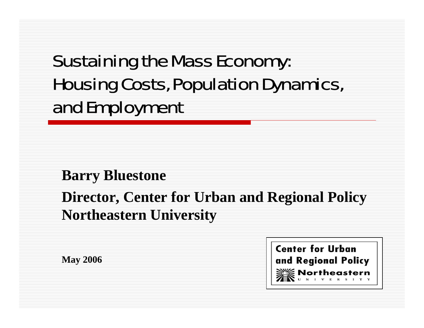# Sustaining the Mass Economy: Housing Costs, Population Dynamics, and Employment

### **Barry Bluestone**

### **Director, Center for Urban and Regional Policy Northeastern University**

**May 2006**

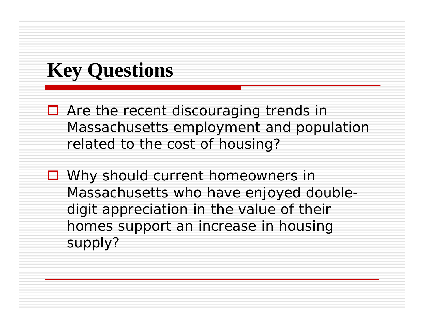# **Key Questions**

- Are the recent discouraging trends in Massachusetts employment and population related to the cost of housing?
- Why should current homeowners in Massachusetts who have enjoyed doubledigit appreciation in the value of their homes support an increase in housing supply?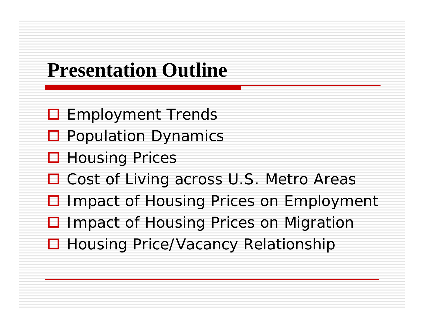## **Presentation Outline**

- **O** Employment Trends
- **Q** Population Dynamics
- **□ Housing Prices**
- □ Cost of Living across U.S. Metro Areas
- **□ Impact of Housing Prices on Employment**
- □ Impact of Housing Prices on Migration
- □ Housing Price/Vacancy Relationship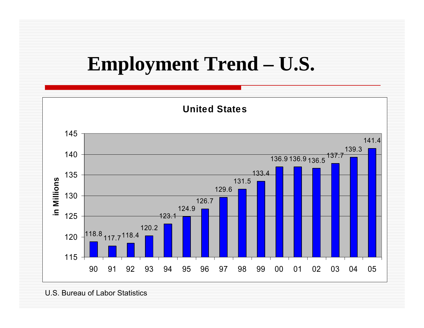## **Employment Trend – U.S.**



U.S. Bureau of Labor Statistics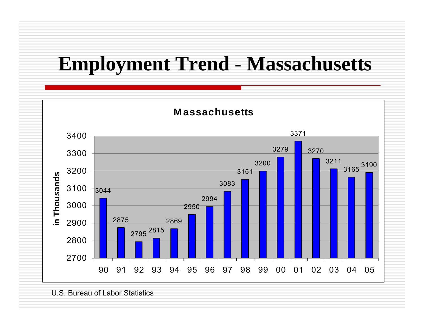# **Employment Trend - Massachusetts**



U.S. Bureau of Labor Statistics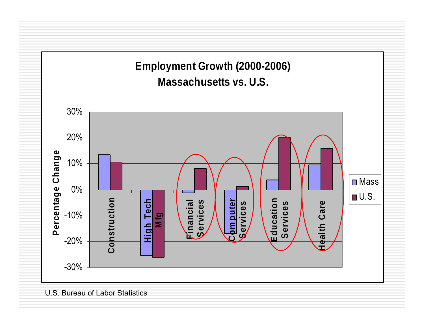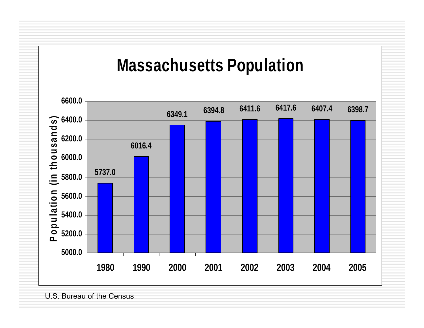

U.S. Bureau of the Census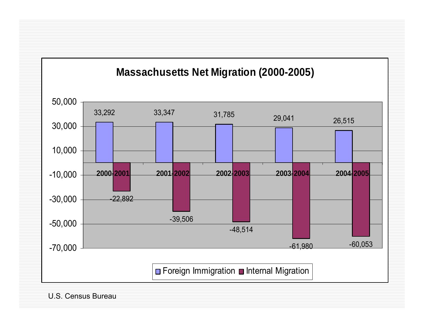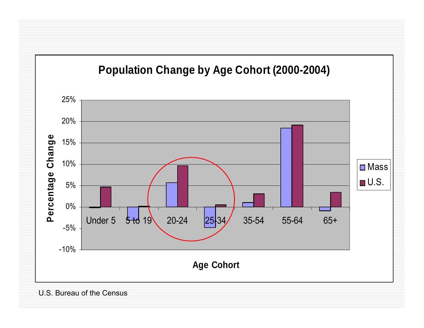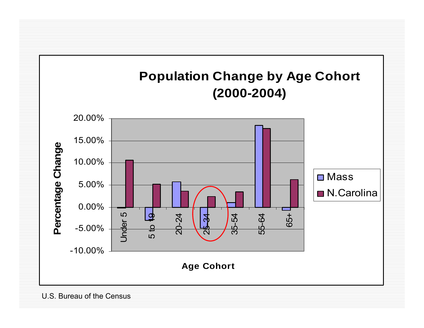

#### U.S. Bureau of the Census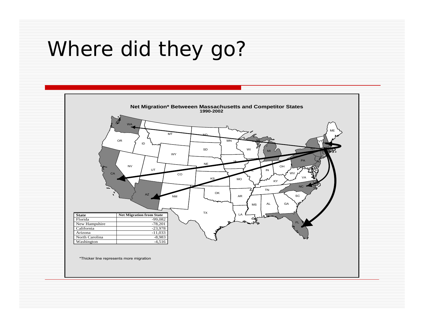# Where did they go?

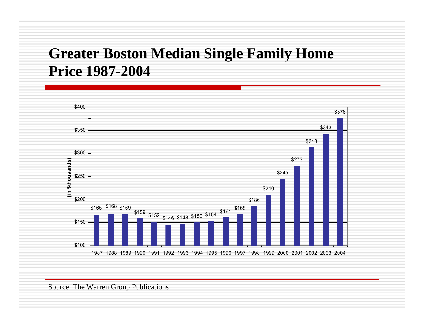### **Greater Boston Median Single Family Home Price 1987-2004**

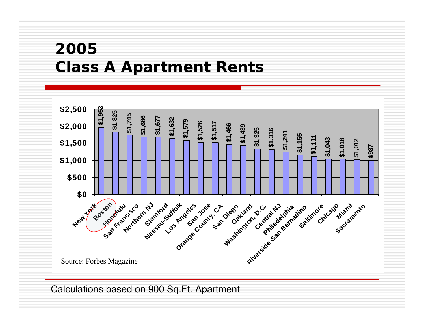### **2005Class A Apartment Rents**



Calculations based on 900 Sq.Ft. Apartment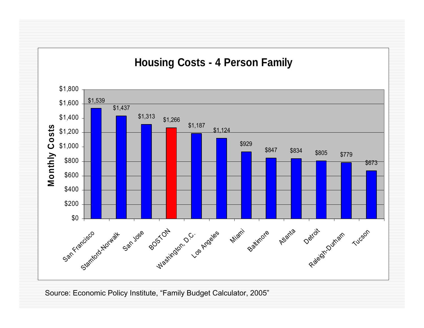

Source: Economic Policy Institute, "Family Budget Calculator, 2005"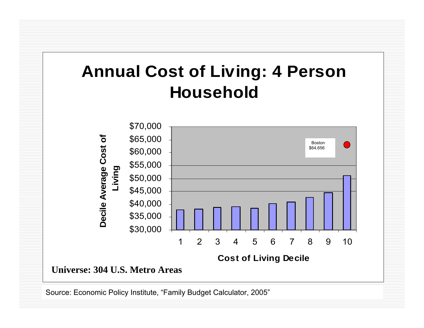### **Annual Cost of Living: 4 Person Household**



Source: Economic Policy Institute, "Family Budget Calculator, 2005"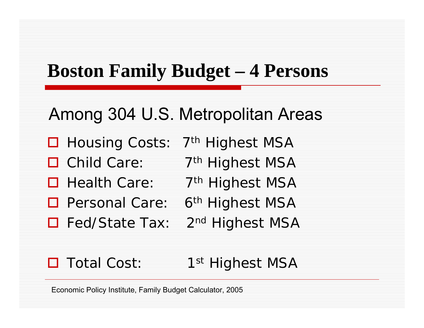## **Boston Family Budget – 4 Persons**

### Among 304 U.S. Metropolitan Areas

- □ Housing Costs: 7<sup>th</sup> Highest MSA
- $\Box$  Child Care: 7<sup>th</sup> Highest MSA
- □ Health Care: 7<sup>th</sup> Highest MSA
- □ Personal Care: 6<sup>th</sup> Highest MSA
- $\Box$  Fed/State Tax: 2<sup>nd</sup> Highest MSA

#### Total Cost: 1<sup>st</sup> Highest MSA

Economic Policy Institute, F amily Budget Calculator, 2005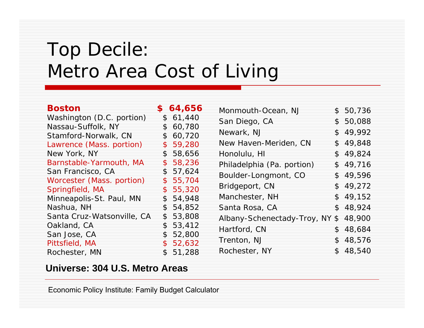## Top Decile: Metro Area Cost of Living

| <b>Boston</b>              | \$64,656     | Monmouth-Ocean, NJ             | \$50,736 |
|----------------------------|--------------|--------------------------------|----------|
| Washington (D.C. portion)  | \$61,440     | San Diego, CA                  | \$50,088 |
| Nassau-Suffolk, NY         | \$60,780     |                                |          |
| Stamford-Norwalk, CN       | \$60,720     | Newark, NJ                     | \$49,992 |
| Lawrence (Mass. portion)   | \$59,280     | New Haven-Meriden, CN          | \$49,848 |
| New York, NY               | 58,656<br>\$ | Honolulu, HI                   | \$49,824 |
| Barnstable-Yarmouth, MA    | \$58,236     | Philadelphia (Pa. portion)     | \$49,716 |
| San Francisco, CA          | \$57,624     | Boulder-Longmont, CO           | \$49,596 |
| Worcester (Mass. portion)  | \$55,704     |                                |          |
| Springfield, MA            | \$55,320     | Bridgeport, CN                 | \$49,272 |
| Minneapolis-St. Paul, MN   | \$54,948     | Manchester, NH                 | \$49,152 |
| Nashua, NH                 | \$54,852     | Santa Rosa, CA                 | \$48,924 |
| Santa Cruz-Watsonville, CA | 53,808<br>\$ | Albany-Schenectady-Troy, NY \$ | 48,900   |
| Oakland, CA                | \$53,412     | Hartford, CN                   | \$48,684 |
| San Jose, CA               | \$52,800     |                                |          |
| Pittsfield, MA             | \$52,632     | Trenton, NJ                    | \$48,576 |
| Rochester, MN              | \$51,288     | Rochester, NY                  | \$48,540 |

#### **Universe: 304 U.S. Metro Areas**

Economic Policy Institute: Family Budget Calculator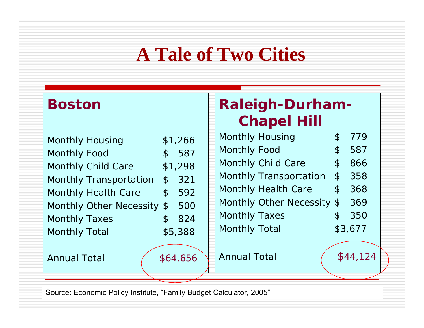# **A Tale of Two Cities**

### **Boston**

|                      | <b>Monthly Housing</b>        |                | \$1,266 |
|----------------------|-------------------------------|----------------|---------|
| <b>Monthly Food</b>  |                               |                | \$587   |
|                      | <b>Monthly Child Care</b>     |                | \$1,298 |
|                      | <b>Monthly Transportation</b> |                | \$321   |
|                      | <b>Monthly Health Care</b>    |                | \$592   |
|                      | Monthly Other Necessity \$    |                | 500     |
| <b>Monthly Taxes</b> |                               | $\mathfrak{L}$ | 824     |
| <b>Monthly Total</b> |                               |                | \$5,388 |

Annual Total

\$64,656

### **Raleigh-Durham-Chapel Hill**

| <b>Monthly Housing</b>         |               | 779     |
|--------------------------------|---------------|---------|
| <b>Monthly Food</b>            | \$            | 587     |
| <b>Monthly Child Care</b>      | $\mathcal{L}$ | 866     |
| <b>Monthly Transportation</b>  | $\mathcal{C}$ | 358     |
| <b>Monthly Health Care</b>     | $\mathcal{L}$ | 368     |
| <b>Monthly Other Necessity</b> | $\mathcal{S}$ | 369     |
| <b>Monthly Taxes</b>           |               | 350     |
| <b>Monthly Total</b>           |               | \$3,677 |
|                                |               |         |

Annual Total

\$44,124

Source: Economic Policy Institute, "Family Budget Calculator, 2005"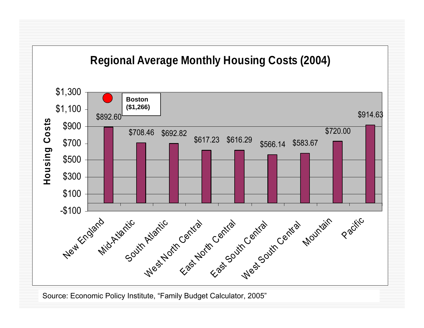### **Regional Average Monthly Housing Costs (2004)**



Source: Economic Policy Institute, "Family Budget Calculator, 2005"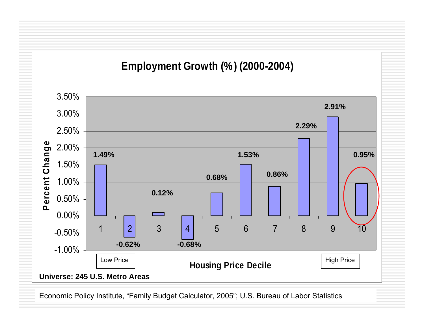### **Employment Growth (%) (2000-2004)**



Economic Policy Institute, "Family Budget Calculator, 2005"; U.S. Bureau of Labor Statistics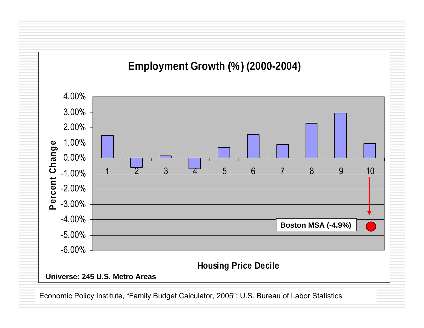

Economic Policy Institute, "Family Budget Calculator, 2005"; U.S. Bureau of Labor Statistics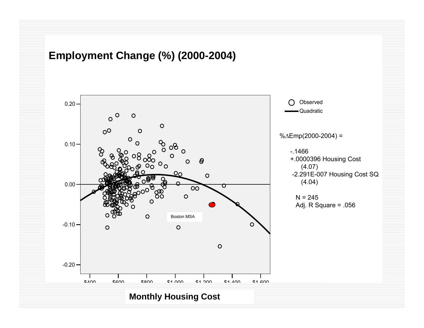#### **Employment Change (%) (2000-2004)**



#### **Monthly Housing Cost**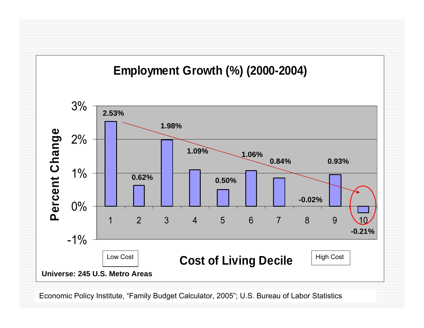

Economic Policy Institute, "Family Budget Calculator, 2005"; U.S. Bureau of Labor Statistics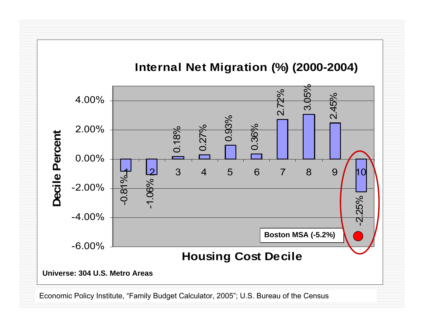

Economic Policy Institute, "Family Budget Calculator, 2005"; U.S. Bureau of the Census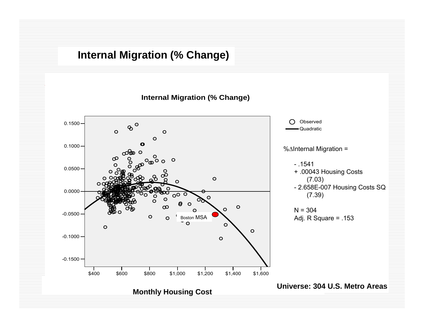### **Internal Migration (% Change)**

**Internal Migration (% Change)**

![](_page_24_Figure_2.jpeg)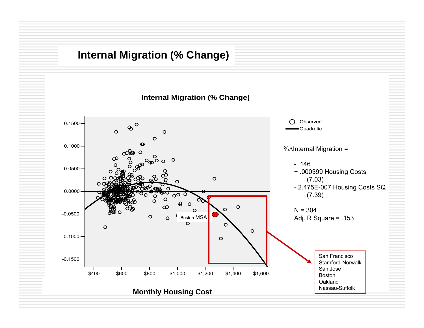### **Internal Migration (% Change)**

**Internal Migration (% Change)**

![](_page_25_Figure_2.jpeg)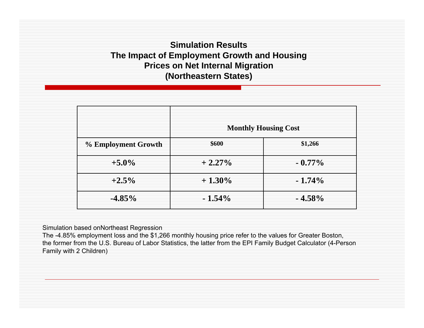#### **Simulation ResultsThe Impact of Employment Growth and Housing Prices on Net Internal Migration (Northeastern States)**

|                     | <b>Monthly Housing Cost</b> |           |  |  |
|---------------------|-----------------------------|-----------|--|--|
| % Employment Growth | \$600                       | \$1,266   |  |  |
| $+5.0\%$            | $+2.27\%$                   | $-0.77\%$ |  |  |
| $+2.5\%$            | $+1.30\%$                   | $-1.74\%$ |  |  |
| $-4.85\%$           | $-1.54\%$                   | $-4.58%$  |  |  |

Simulation based onNortheast Regression

The -4.85% employment loss and the \$1,266 monthly housing price refer to the values for Greater Boston, the former from the U.S. Bureau of Labor Statistics, the latter from the EPI Family Budget Calculator (4-Person Family with 2 Children)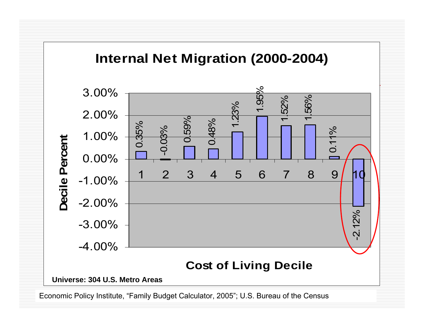### **Internal Net Migration (2000-2004)**

![](_page_27_Figure_1.jpeg)

Economic Policy Institute, "Family Budget Calculator, 2005"; U.S. Bureau of the Census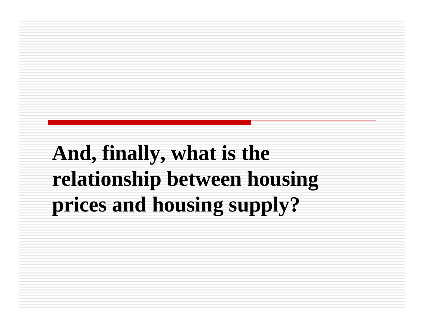# **And, finally, what is the relationship between housing prices and housing supply?**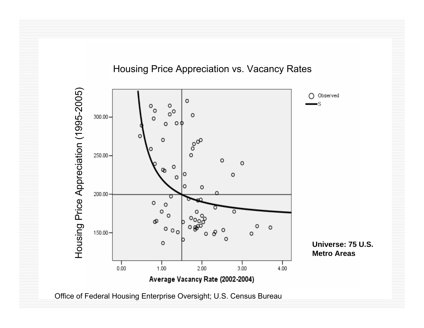#### Housing Price Appreciation vs. Vacancy Rates

![](_page_29_Figure_1.jpeg)

Office of Federal Housing Enterprise Oversight; U.S. Census Bureau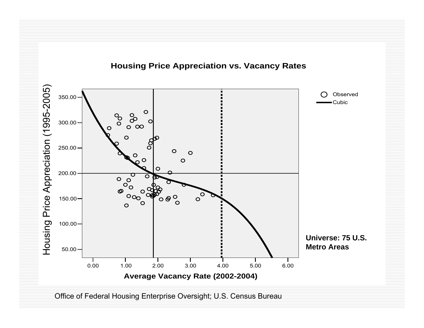![](_page_30_Figure_1.jpeg)

Office of Federal Housing Enterprise Oversight; U.S. Census Bureau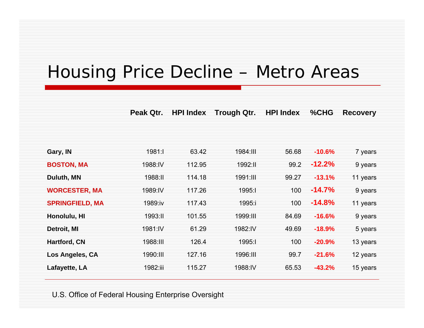### Housing Price Decline – Metro Areas

**Peak Qtr. HPI Index Trough Qtr. HPI Index % C H G Recovery**

| Gary, IN               | 1981:1   | 63.42  | 1984.III | 56.68 | $-10.6%$ | 7 years  |
|------------------------|----------|--------|----------|-------|----------|----------|
| <b>BOSTON, MA</b>      | 1988:IV  | 112.95 | 1992:11  | 99.2  | $-12.2%$ | 9 years  |
| Duluth, MN             | 1988:11  | 114.18 | 1991:III | 99.27 | $-13.1%$ | 11 years |
| <b>WORCESTER, MA</b>   | 1989:IV  | 117.26 | 1995:1   | 100   | $-14.7%$ | 9 years  |
| <b>SPRINGFIELD, MA</b> | 1989:iv  | 117.43 | 1995:i   | 100   | $-14.8%$ | 11 years |
| Honolulu, HI           | 1993:11  | 101.55 | 1999:11  | 84.69 | $-16.6%$ | 9 years  |
| Detroit, MI            | 1981:IV  | 61.29  | 1982:IV  | 49.69 | $-18.9%$ | 5 years  |
| <b>Hartford, CN</b>    | 1988:III | 126.4  | 1995:1   | 100   | $-20.9%$ | 13 years |
| Los Angeles, CA        | 1990:11  | 127.16 | 1996:11  | 99.7  | $-21.6%$ | 12 years |
| Lafayette, LA          | 1982:iii | 115.27 | 1988:IV  | 65.53 | $-43.2%$ | 15 years |
|                        |          |        |          |       |          |          |

U.S. Office of Federal Housing Enterprise Oversight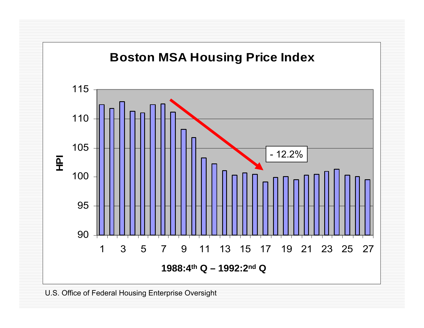![](_page_32_Figure_0.jpeg)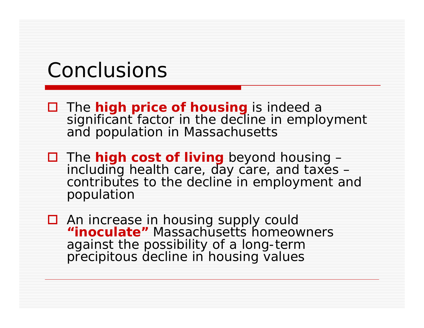## Conclusions

- $\Box$  The **high price of housing** is indeed a significant factor in the decline in employment and population in Massachusetts
- □ The **high cost of living** beyond housing including health care, day care, and taxes – contributes to the decline in employment and population
- □ An increase in housing supply could **"inoculate"** Massachusetts homeowners against the possibility of a long-term precipitous decline in housing values